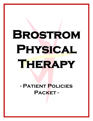# **- Patient Policies Packet -**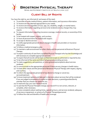

Spine and Extremity Institute of South Lyon, LLC

# **Client Bill of Rights**

You have the right to, are informed of, and aware of the need:

- 1) To provide accurate medical history, patient information, and insurance information.
- 2) To receive services deemed appropriate to your needs.
- 3) To receive services regardless of race, age, sex, disability, weight, or marital status.
- 4) To receive information regarding services to be rendered and any charges they may require.
- 5) To request information regarding insurance coverage, medical records, or ownership of this facility.
- 6) To be treated with respect, dignity, and courtesy.
- 7) To have all personal items be treated with respect.
- 8) To accept or decline services.
- 9) To notify appropriate personnel about changes in health care providers or insurance information.
- 10) To follow a medical emergency plan.
- 11) To maintain a safe environment for other clients and the personnel at Brostrom Physical Therapy.
- 12) To expect continuity of care from a qualified Physical Therapist who has the knowledge and skill necessary to complete appropriate services.
- 13) To expect that all records will be kept confidential except as authorized or required by law.
- 14) To be informed of the name and title of all personnel providing services.
- 15) To make suggestions, ask questions, or voice grievances/complaints about services rendered.
- 16) To communicate to the appropriate personnel if there are any changes in health status.
- 17) To treat other clients and the personnel of Brostrom Physical Therapy with respect, dignity, and courtesy.
- 18) To inform the appropriate personnel of any desire to change or cancel any service/treatment.
- 19) To know treatment options and take part in decisions about services that will be rendered. If you are judged incompetent or unable to make decisions, a parent/quardian/family member that you choose can speak for you.
- 20) To read and copy your own medical record.
- 21) To ask that the Physical Therapist change your record if it is not correct, relevant, or complete, when necessary.
- 22) To voice complaints about waiting times, operating hours, and services rendered, adequacy of services or equipment, or actions of a Physical Therapist/personnel.

2

23) To follow the rules and benefits of health plan coverage.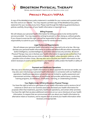

Spine and Extremity Institute of South Lyon, LLC

# **Privacy Policy/HIPAA**

A copy of the *detailed* privacy policy statement is available for your review and is posted within the clinic and on our website. You may request a printed copy of the *detailed* privacy policy statement for your records at any time. Please read through the following *general* disclosure policies carefully; the privacy of your health information is important to us.

### **Billing Purposes**

We will release your personal health information for billing purposes to be reimbursed for services provided. You may request (in writing) to prevent us from doing so, without penalty. If you choose to exercise this right, you will be responsible for your balance, and it will be your responsibility to submit to your insurance carrier for reimbursement.

### **Legal Duties and Requirements**

We will release your personal health information when required to do so by law. We may disclose your personal health information to authorized federal officials where required for lawful intelligence, counterintelligence, and other national security activities. Brostrom Physical Therapy may use or disclose your health information to appropriate authorities if we reasonably believe that you are victim of abuse, neglect, other domestic violence, or the possible victim of other crimes. We may also use or disclose your health information to the extent necessary to avert a serious threat to your health or safety and/or the health or safety of others.

### **Payment and Healthcare Operations**

We may use or disclose your health information to obtain payment for services we render; we may also use or disclose your personal health information in connection with our healthcare operations. Healthcare operations include but are not limited to: quality assessment and improvement activities, evaluation of practitioner and provider performance, conducting training programs, accreditation, certification, licensing, or credentialing activities.

## **Your Rights Under HIPAA at Brostrom Physical Therapy**

You have the right to look at or get copies of your health information and to receive a list of instances in which we or our business associates disclosed your health information for purposes other than treatment, payment, healthcare operations, and certain other activities. You have the right that we place additional restrictions on our use or disclosure of your health information, to request that we communicate with you about your health information by alternative means or locations, and to request that we amend your health information when necessary and appropriate.

3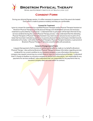

Spine and Extremity Institute of South Lyon, LLC

# **Consent Form**

During your physical therapy session, it is often necessary to expose or touch the area to be treated. Every effort is made to preserve modesty and keep you comfortable.

### **Consent for Treatment**

I give my consent for treatment by a qualified Physical Therapist and/or Physical Therapist Assistant at Brostrom Physical Therapy to provide physical therapy and rehabilitation services and necessary treatment as prescribed by my physician. I understand that my physician will be kept informed of any services rendered during the current Physical Therapy process. I also understand that the attending Physical Therapist or Physical Therapist Assistant may need visual or physical access to parts of my body that have been indicated as painful, or to practice physical therapy techniques intended towards restoration of my body. I will notify the Physical Therapist, Physical Therapist Assistant, or personnel at Brostrom Physical Therapy if I become uncomfortable with procedures.

### **Consent of Assignment of Claim**

I request that payment of all insurance or authorized benefits be made on my behalf to Brostrom Physical Therapy. I also authorize Brostrom Physical Therapy to release information regarding services rendered for my current condition to my insurance company, or any information the insurance company may request concerning my current illness or injury to continue physical therapy. I understand that if I choose to disallow my insurance company to receive such information, I am responsible for any payments for services rendered. I also understand that I am responsible for any payments that my insurance company does not cover within its contract.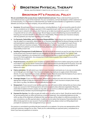

# **Brostrom PT's Financial Policy**

**We are committed to the success of your medical treatment and care.** Please understand that payment for your medical services is a part of this treatment. For your convenience, we have developed a written statement of our financial policy. It is important to understand that your health insurance benefit is an agreement or contract between you and your insurance company, not you and your provider.

- **1. Insurance.** We participate in most insurance plans, including Medicare. If you are insured by a plan for which we are considered out-of-network, payment in full is expected at each visit. If you are insured by a plan for which we are in-network with, but you don't have an up-to-date insurance card, payment in full for each visit is required until we can verify your coverage. We are happy to assist with obtaining insurance benefits but knowing your insurance benefits is ultimately your responsibility. Please contact your insurance company with any questions you may have regarding your coverage.
- **2. Co-Payments, Deductibles, and Co-Insurance Responsibilities.** Depending on your insurance coverage, you may be subject to co-payments, deductibles, or co-insurance responsibilities for physical therapy services. All estimated patient responsibilities must be paid at the time of service. This arrangement is part of your contract with your insurance company. Failure on our part to collect co-payments, co-insurances, and deductibles from patients can be considered fraud; please help us in upholding the law by paying your responsibility at each visit.
- **3. Handling of Overpayment (Credit) Balances.** We will reconcile the amount you pay for each date of service to the amount your insurance reports as your obligation on their processed claim(s). Per Federal Trade Commission regulations, any overpayment (credit) balances less than or equal to \$0.99 will remain on your account for future application. Any overpayment (credit) balance greater than or equal to \$1.00 will be refunded to you via check.
- **4. Proof of insurance.** All patients must complete our patient information forms before seeing the provider. We must obtain a copy of your driver's license and current valid insurance to provide proof of insurance. If you fail to provide us with the correct insurance information in a timely manner, you may be responsible for the balance of a claim.
- **5. Claims submission.** We will submit your claims to your insurance(s) and assist you in any way we reasonably can to help get your claims paid. Your insurance company may need you to supply certain information directly. It is your responsibility to comply with their request. Please be aware that the balance of your claim is your responsibility whether or not your insurance company pays your claim.
- **6. Coverage changes.** If your insurance changes, please notify us before your next visit so we can make the appropriate changes to help you receive your maximum benefits. If your insurance company does not pay your claim in 45 days, the balance will automatically be billed to you.
- **7. Nonpayment.** If your account is over 90 days past due, you will receive a letter stating that you have 10 days to pay your account in full. Partial payments will not be accepted unless otherwise negotiated. Please be aware that if a balance remains unpaid, we may refer your account to a collection agency and you and your immediate family members may be discharged from this practice.
- **8. Payment for Services.** Our office accepts all credit cards, as well as cash or check. Should we need to bill you for services performed, our office will send you a monthly statement. Any outstanding balances are due within 30 days of the statement; all balances that reach 90 days will be subject to collection procedures. For your convenience, we offer payment plans. In addition, we do realize that temporary financial problems may affect timely payment on your account. If such problems do arise, please contact our billing department promptly for assistance in the management of your account.

Our practice is committed to providing the best treatment to our patients. Our prices are representative of the usual and customary charges for our area. Thank you for understanding our payment policy, and please let us know if you have any questions or concerns.